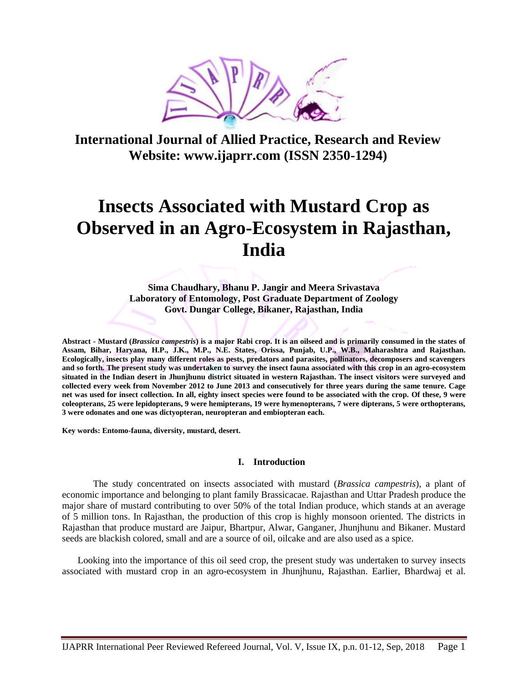

**International Journal of Allied Practice, Research and Review Website: www.ijaprr.com (ISSN 2350-1294)**

# **Insects Associated with Mustard Crop as Observed in an Agro-Ecosystem in Rajasthan, India**

**Sima Chaudhary, Bhanu P. Jangir and Meera Srivastava Laboratory of Entomology, Post Graduate Department of Zoology Govt. Dungar College, Bikaner, Rajasthan, India**

**Abstract - Mustard (***Brassica campestris***) is a major Rabi crop. It is an oilseed and is primarily consumed in the states of Assam, Bihar, Haryana, H.P., J.K., M.P., N.E. States, Orissa, Punjab, U.P., W.B., Maharashtra and Rajasthan. Ecologically, insects play many different roles as pests, predators and parasites, pollinators, decomposers and scavengers and so forth. The present study was undertaken to survey the insect fauna associated with this crop in an agro-ecosystem situated in the Indian desert in Jhunjhunu district situated in western Rajasthan. The insect visitors were surveyed and collected every week from November 2012 to June 2013 and consecutively for three years during the same tenure. Cage net was used for insect collection. In all, eighty insect species were found to be associated with the crop. Of these, 9 were coleopterans, 25 were lepidopterans, 9 were hemipterans, 19 were hymenopterans, 7 were dipterans, 5 were orthopterans, 3 were odonates and one was dictyopteran, neuropteran and embiopteran each.**

**Key words: Entomo-fauna, diversity, mustard, desert.**

## **I. Introduction**

The study concentrated on insects associated with mustard (*Brassica campestris*), a plant of economic importance and belonging to plant family Brassicacae. Rajasthan and Uttar Pradesh produce the major share of mustard contributing to over 50% of the total Indian produce, which stands at an average of 5 million tons. In Rajasthan, the production of this crop is highly monsoon oriented. The districts in Rajasthan that produce mustard are Jaipur, Bhartpur, Alwar, Ganganer, Jhunjhunu and Bikaner. Mustard seeds are blackish colored, small and are a source of oil, oilcake and are also used as a spice.

Looking into the importance of this oil seed crop, the present study was undertaken to survey insects associated with mustard crop in an agro-ecosystem in Jhunjhunu, Rajasthan. Earlier, Bhardwaj et al.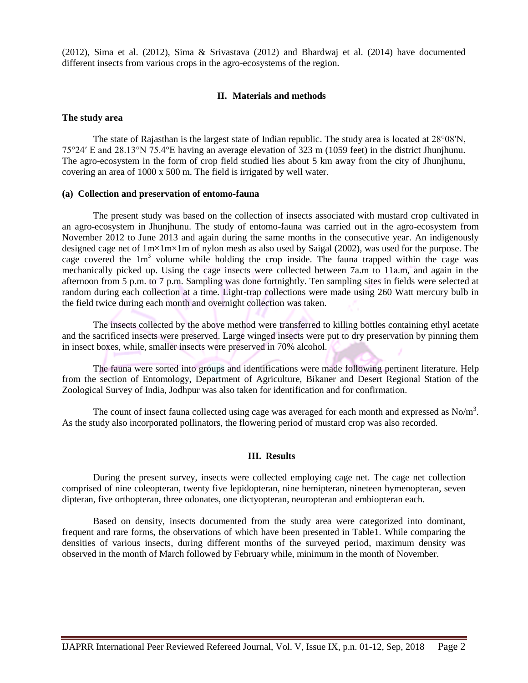(2012), Sima et al. (2012), Sima & Srivastava (2012) and Bhardwaj et al. (2014) have documented different insects from various crops in the agro-ecosystems of the region.

## **II. Materials and methods**

## **The study area**

The state of Rajasthan is the largest state of Indian republic. The study area is located at 28°08′N, 75°24′ E and 28.13°N 75.4°E having an average elevation of 323 m (1059 feet) in the district Jhunjhunu. The agro-ecosystem in the form of crop field studied lies about 5 km away from the city of Jhunjhunu, covering an area of 1000 x 500 m. The field is irrigated by well water.

# **(a) Collection and preservation of entomo-fauna**

The present study was based on the collection of insects associated with mustard crop cultivated in an agro-ecosystem in Jhunjhunu. The study of entomo-fauna was carried out in the agro-ecosystem from November 2012 to June 2013 and again during the same months in the consecutive year. An indigenously designed cage net of 1m×1m×1m of nylon mesh as also used by Saigal (2002), was used for the purpose. The cage covered the  $1m<sup>3</sup>$  volume while holding the crop inside. The fauna trapped within the cage was mechanically picked up. Using the cage insects were collected between 7a.m to 11a.m, and again in the afternoon from 5 p.m. to 7 p.m. Sampling was done fortnightly. Ten sampling sites in fields were selected at random during each collection at a time. Light-trap collections were made using 260 Watt mercury bulb in the field twice during each month and overnight collection was taken.

The insects collected by the above method were transferred to killing bottles containing ethyl acetate and the sacrificed insects were preserved. Large winged insects were put to dry preservation by pinning them in insect boxes, while, smaller insects were preserved in 70% alcohol.

The fauna were sorted into groups and identifications were made following pertinent literature. Help from the section of Entomology, Department of Agriculture, Bikaner and Desert Regional Station of the Zoological Survey of India, Jodhpur was also taken for identification and for confirmation.

The count of insect fauna collected using cage was averaged for each month and expressed as  $No/m<sup>3</sup>$ . As the study also incorporated pollinators, the flowering period of mustard crop was also recorded.

# **III. Results**

During the present survey, insects were collected employing cage net. The cage net collection comprised of nine coleopteran, twenty five lepidopteran, nine hemipteran, nineteen hymenopteran, seven dipteran, five orthopteran, three odonates, one dictyopteran, neuropteran and embiopteran each.

Based on density, insects documented from the study area were categorized into dominant, frequent and rare forms, the observations of which have been presented in Table1. While comparing the densities of various insects, during different months of the surveyed period, maximum density was observed in the month of March followed by February while, minimum in the month of November.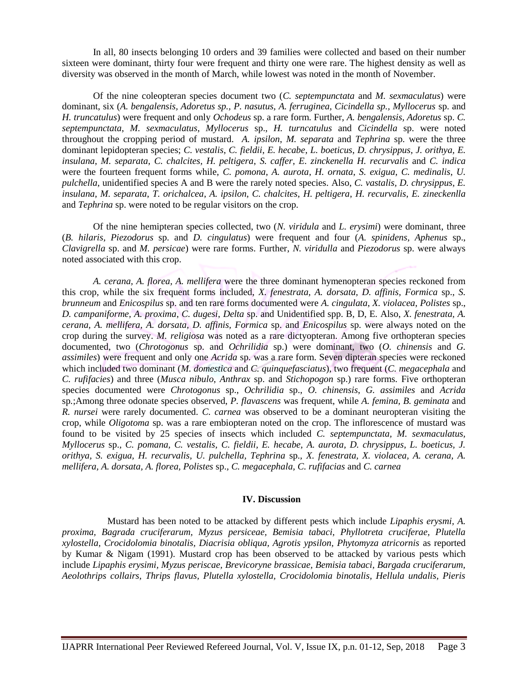In all, 80 insects belonging 10 orders and 39 families were collected and based on their number sixteen were dominant, thirty four were frequent and thirty one were rare. The highest density as well as diversity was observed in the month of March, while lowest was noted in the month of November.

Of the nine coleopteran species document two (*C. septempunctata* and *M. sexmaculatus*) were dominant, six (*A. bengalensis, Adoretus sp., P. nasutus, A. ferruginea, Cicindella sp., Myllocerus* sp. and *H. truncatulus*) were frequent and only *Ochodeus* sp. a rare form. Further, *A. bengalensis, Adoretus* sp. *C. septempunctata*, *M. sexmaculatus*, *Myllocerus* sp., *H. turncatulus* and *Cicindella* sp. were noted throughout the cropping period of mustard. *A. ipsilon*, *M. separata* and *Tephrina* sp. were the three dominant lepidopteran species; *C. vestalis*, *C. fieldii*, *E. hecabe*, *L. boeticus*, *D. chrysippus*, *J. orithya, E. insulana*, *M. separata*, *C. chalcites, H. peltigera*, *S. caffer*, *E. zinckenella H. recurvalis* and *C. indica* were the fourteen frequent forms while, *C. pomona*, *A. aurota*, *H. ornata*, *S. exigua*, *C. medinalis*, *U. pulchella*, unidentified species A and B were the rarely noted species. Also, *C. vastalis, D. chrysippus*, *E. insulana*, *M. separata*, *T. orichalcea*, *A. ipsilon*, *C. chalcites*, *H. peltigera*, *H. recurvalis*, *E. zineckenlla* and *Tephrina* sp. were noted to be regular visitors on the crop.

Of the nine hemipteran species collected, two (*N. viridula* and *L. erysimi*) were dominant, three (*B. hilaris, Piezodorus* sp. and *D. cingulatus*) were frequent and four (*A. spinidens, Aphenus* sp., *Clavigrella* sp. and *M. persicae*) were rare forms. Further, *N. viridulla* and *Piezodorus* sp. were always noted associated with this crop.

*A. cerana, A. florea, A. mellifera* were the three dominant hymenopteran species reckoned from this crop, while the six frequent forms included, *X. fenestrata, A. dorsata, D. affinis, Formica* sp., *S. brunneum* and *Enicospilus* sp. and ten rare forms documented were *A. cingulata*, *X. violacea*, *Polistes* sp., *D. campaniforme, A. proxima*, *C. dugesi*, *Delta* sp. and Unidentified spp. B, D, E. Also, *X. fenestrata, A. cerana, A. mellifera, A. dorsata, D. affinis, Formica* sp. and *Enicospilus* sp. were always noted on the crop during the survey. *M. religiosa* was noted as a rare dictyopteran. Among five orthopteran species documented, two (*Chrotogonus* sp. and *Ochrilidia* sp.) were dominant, two (*O. chinensis* and *G. assimiles*) were frequent and only one *Acrida* sp. was a rare form. Seven dipteran species were reckoned which included two dominant (*M. domestica* and *C. quinquefasciatus*), two frequent (*C. megacephala* and *C. rufifacies*) and three (*Musca nibulo*, *Anthrax* sp. and *Stichopogon* sp.) rare forms. Five orthopteran species documented were *Chrotogonus* sp., *Ochrilidia* sp., *O. chinensis*, *G. assimiles* and *Acrida*  sp*.*;Among three odonate species observed, *P. flavascens* was frequent, while *A. femina, B. geminata* and *R. nursei* were rarely documented. *C. carnea* was observed to be a dominant neuropteran visiting the crop, while *Oligotoma* sp. was a rare embiopteran noted on the crop. The inflorescence of mustard was found to be visited by 25 species of insects which included *C. septempunctata, M. sexmaculatus, Myllocerus* sp.*, C. pomana, C. vestalis, C. fieldii, E. hecabe, A. aurota, D. chrysippus, L. boeticus, J. orithya, S. exigua, H. recurvalis, U. pulchella, Tephrina* sp.*, X. fenestrata, X. violacea, A. cerana, A. mellifera, A. dorsata, A. florea, Polistes* sp.*, C. megacephala, C. rufifacias* and *C. carnea*

## **IV. Discussion**

Mustard has been noted to be attacked by different pests which include *Lipaphis erysmi, A. proxima, Bagrada cruciferarum, Myzus persiceae, Bemisia tabaci, Phyllotreta cruciferae, Plutella xylostella, Crocidolomia binotalis, Diacrisia obliqua, Agrotis ypsilon, Phytomyza atricornis* as reported by Kumar & Nigam (1991). Mustard crop has been observed to be attacked by various pests which include *Lipaphis erysimi, Myzus periscae, Brevicoryne brassicae, Bemisia tabaci, Bargada cruciferarum, Aeolothrips collairs, Thrips flavus, Plutella xylostella, Crocidolomia binotalis, Hellula undalis, Pieris*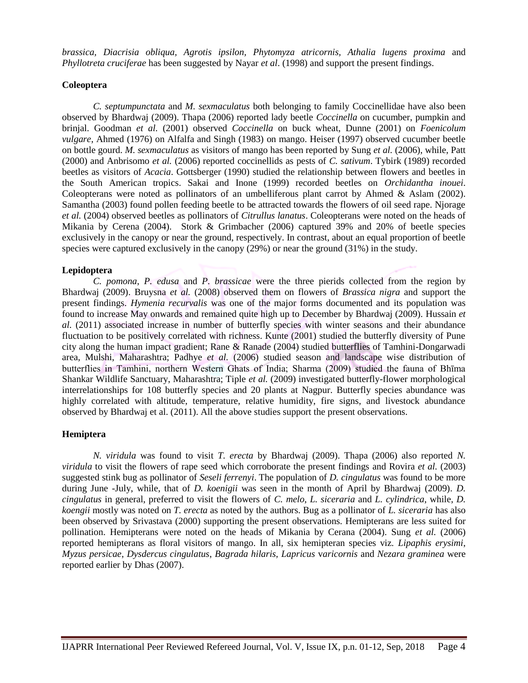*brassica, Diacrisia obliqua, Agrotis ipsilon, Phytomyza atricornis, Athalia lugens proxima* and *Phyllotreta cruciferae* has been suggested by Nayar *et al*. (1998) and support the present findings.

# **Coleoptera**

*C. septumpunctata* and *M. sexmaculatus* both belonging to family Coccinellidae have also been observed by Bhardwaj (2009). Thapa (2006) reported lady beetle *Coccinella* on cucumber, pumpkin and brinjal. Goodman *et al.* (2001) observed *Coccinella* on buck wheat, Dunne (2001) on *Foenicolum vulgare*, Ahmed (1976) on Alfalfa and Singh (1983) on mango. Heiser (1997) observed cucumber beetle on bottle gourd. *M. sexmaculatus* as visitors of mango has been reported by Sung *et al.* (2006), while, Patt (2000) and Anbrisomo *et al.* (2006) reported coccinellids as pests of *C. sativum*. Tybirk (1989) recorded beetles as visitors of *Acacia*. Gottsberger (1990) studied the relationship between flowers and beetles in the South American tropics. Sakai and Inone (1999) recorded beetles on *Orchidantha inouei*. Coleopterans were noted as pollinators of an umbelliferous plant carrot by Ahmed & Aslam (2002). Samantha (2003) found pollen feeding beetle to be attracted towards the flowers of oil seed rape. Njorage *et al.* (2004) observed beetles as pollinators of *Citrullus lanatus*. Coleopterans were noted on the heads of Mikania by Cerena (2004). Stork & Grimbacher (2006) captured 39% and 20% of beetle species exclusively in the canopy or near the ground, respectively. In contrast, about an equal proportion of beetle species were captured exclusively in the canopy (29%) or near the ground (31%) in the study.

## **Lepidoptera**

*C. pomona*, *P. edusa* and *P. brassicae* were the three pierids collected from the region by Bhardwaj (2009). Bruysna *et al.* (2008) observed them on flowers of *Brassica nigra* and support the present findings. *Hymenia recurvalis* was one of the major forms documented and its population was found to increase May onwards and remained quite high up to December by Bhardwaj (2009). Hussain *et al.* (2011) associated increase in number of butterfly species with winter seasons and their abundance fluctuation to be positively correlated with richness. Kunte (2001) studied the butterfly diversity of Pune city along the human impact gradient; Rane & Ranade (2004) studied butterflies of Tamhini-Dongarwadi area, Mulshi, Maharashtra; Padhye *et al.* (2006) studied season and landscape wise distribution of butterflies in Tamhini, northern Western Ghats of India; Sharma (2009) studied the fauna of Bhīma Shankar Wildlife Sanctuary, Maharashtra; Tiple *et al.* (2009) investigated butterfly-flower morphological interrelationships for 108 butterfly species and 20 plants at Nagpur. Butterfly species abundance was highly correlated with altitude, temperature, relative humidity, fire signs, and livestock abundance observed by Bhardwaj et al. (2011). All the above studies support the present observations.

#### **Hemiptera**

*N. viridula* was found to visit *T. erecta* by Bhardwaj (2009). Thapa (2006) also reported *N. viridula* to visit the flowers of rape seed which corroborate the present findings and Rovira *et al.* (2003) suggested stink bug as pollinator of *Seseli ferrenyi*. The population of *D. cingulatus* was found to be more during June -July, while, that of *D. koenigii* was seen in the month of April by Bhardwaj (2009). *D. cingulatus* in general, preferred to visit the flowers of *C. melo*, *L. siceraria* and *L. cylindrica*, while, *D. koengii* mostly was noted on *T. erecta* as noted by the authors. Bug as a pollinator of *L. siceraria* has also been observed by Srivastava (2000) supporting the present observations. Hemipterans are less suited for pollination. Hemipterans were noted on the heads of Mikania by Cerana (2004). Sung *et al.* (2006) reported hemipterans as floral visitors of mango. In all, six hemipteran species viz. *Lipaphis erysimi*, *Myzus persicae*, *Dysdercus cingulatus*, *Bagrada hilaris*, *Lapricus* v*aricornis* and *Nezara graminea* were reported earlier by Dhas (2007).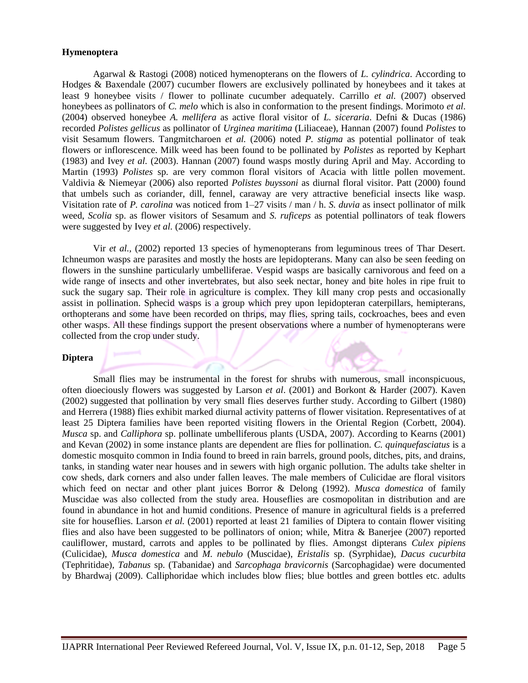# **Hymenoptera**

Agarwal & Rastogi (2008) noticed hymenopterans on the flowers of *L. cylindrica*. According to Hodges & Baxendale (2007) cucumber flowers are exclusively pollinated by honeybees and it takes at least 9 honeybee visits / flower to pollinate cucumber adequately. Carrillo *et al.* (2007) observed honeybees as pollinators of *C. melo* which is also in conformation to the present findings. Morimoto *et al*. (2004) observed honeybee *A. mellifera* as active floral visitor of *L. siceraria*. Defni & Ducas (1986) recorded *Polistes gellicus* as pollinator of *Urginea maritima* (Liliaceae), Hannan (2007) found *Polistes* to visit Sesamum flowers. Tangmitcharoen *et al.* (2006) noted *P. stigma* as potential pollinator of teak flowers or inflorescence. Milk weed has been found to be pollinated by *Polistes* as reported by Kephart (1983) and Ivey *et al.* (2003). Hannan (2007) found wasps mostly during April and May. According to Martin (1993) *Polistes* sp. are very common floral visitors of Acacia with little pollen movement. Valdivia & Niemeyar (2006) also reported *Polistes buyssoni* as diurnal floral visitor. Patt (2000) found that umbels such as coriander, dill, fennel, caraway are very attractive beneficial insects like wasp. Visitation rate of *P. carolina* was noticed from 1–27 visits / man / h. *S. duvia* as insect pollinator of milk weed, *Scolia* sp. as flower visitors of Sesamum and *S. ruficeps* as potential pollinators of teak flowers were suggested by Ivey *et al.* (2006) respectively.

Vir *et al.,* (2002) reported 13 species of hymenopterans from leguminous trees of Thar Desert. Ichneumon wasps are parasites and mostly the hosts are lepidopterans. Many can also be seen feeding on flowers in the sunshine particularly umbelliferae. Vespid wasps are basically carnivorous and feed on a wide range of insects and other invertebrates, but also seek nectar, honey and bite holes in ripe fruit to suck the sugary sap. Their role in agriculture is complex. They kill many crop pests and occasionally assist in pollination. Sphecid wasps is a group which prey upon lepidopteran caterpillars, hemipterans, orthopterans and some have been recorded on thrips, may flies, spring tails, cockroaches, bees and even other wasps. All these findings support the present observations where a number of hymenopterans were collected from the crop under study.

## **Diptera**

Small flies may be instrumental in the forest for shrubs with numerous, small inconspicuous, often dioeciously flowers was suggested by Larson *et al*. (2001) and Borkont & Harder (2007). Kaven (2002) suggested that pollination by very small flies deserves further study. According to Gilbert (1980) and Herrera (1988) flies exhibit marked diurnal activity patterns of flower visitation. Representatives of at least 25 Diptera families have been reported visiting flowers in the Oriental Region (Corbett, 2004). *Musca* sp. and *Calliphora* sp. pollinate umbelliferous plants (USDA, 2007). According to Kearns (2001) and Kevan (2002) in some instance plants are dependent are flies for pollination. *C. quinquefasciatus* is a domestic mosquito common in India found to breed in rain barrels, ground pools, ditches, pits, and drains, tanks, in standing water near houses and in sewers with high organic pollution. The adults take shelter in cow sheds, dark corners and also under fallen leaves. The male members of Culicidae are floral visitors which feed on nectar and other plant juices Borror & Delong (1992). *Musca domestica* of family Muscidae was also collected from the study area. Houseflies are cosmopolitan in distribution and are found in abundance in hot and humid conditions. Presence of manure in agricultural fields is a preferred site for houseflies. Larson *et al.* (2001) reported at least 21 families of Diptera to contain flower visiting flies and also have been suggested to be pollinators of onion; while, Mitra & Banerjee (2007) reported cauliflower, mustard, carrots and apples to be pollinated by flies. Amongst dipterans *Culex pipiens*  (Culicidae), *Musca domestica* and *M. nebulo* (Muscidae), *Eristalis* sp. (Syrphidae), *Dacus cucurbita* (Tephritidae), *Tabanus* sp. (Tabanidae) and *Sarcophaga bravicornis* (Sarcophagidae) were documented by Bhardwaj (2009). Calliphoridae which includes blow flies; blue bottles and green bottles etc. adults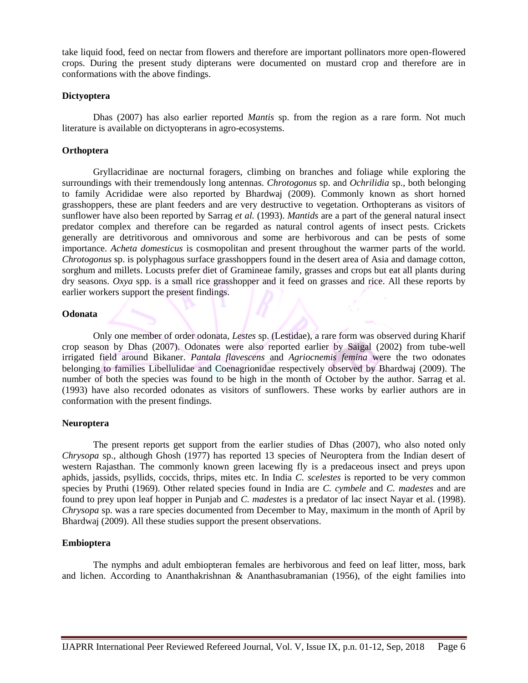take liquid food, feed on nectar from flowers and therefore are important pollinators more open-flowered crops. During the present study dipterans were documented on mustard crop and therefore are in conformations with the above findings.

## **Dictyoptera**

Dhas (2007) has also earlier reported *Mantis* sp. from the region as a rare form. Not much literature is available on dictyopterans in agro-ecosystems.

# **Orthoptera**

Gryllacridinae are nocturnal foragers, climbing on branches and foliage while exploring the surroundings with their tremendously long antennas. *Chrotogonus* sp. and *Ochrilidia* sp., both belonging to family Acrididae were also reported by Bhardwaj (2009). Commonly known as short horned grasshoppers, these are plant feeders and are very destructive to vegetation. Orthopterans as visitors of sunflower have also been reported by Sarrag *et al.* (1993). *Mantids* are a part of the general natural insect predator complex and therefore can be regarded as natural control agents of insect pests. Crickets generally are detritivorous and omnivorous and some are herbivorous and can be pests of some importance. *Acheta domesticus* is cosmopolitan and present throughout the warmer parts of the world. *Chrotogonus* sp. is polyphagous surface grasshoppers found in the desert area of Asia and damage cotton, sorghum and millets. Locusts prefer diet of Gramineae family, grasses and crops but eat all plants during dry seasons. *Oxya* spp. is a small rice grasshopper and it feed on grasses and rice. All these reports by earlier workers support the present findings.

# **Odonata**

Only one member of order odonata, *Lestes* sp. (Lestidae), a rare form was observed during Kharif crop season by Dhas (2007). Odonates were also reported earlier by Saigal (2002) from tube-well irrigated field around Bikaner. *Pantala flavescens* and *Agriocnemis femina* were the two odonates belonging to families Libellulidae and Coenagrionidae respectively observed by Bhardwaj (2009). The number of both the species was found to be high in the month of October by the author. Sarrag et al. (1993) have also recorded odonates as visitors of sunflowers. These works by earlier authors are in conformation with the present findings.

# **Neuroptera**

The present reports get support from the earlier studies of Dhas (2007), who also noted only *Chrysopa* sp., although Ghosh (1977) has reported 13 species of Neuroptera from the Indian desert of western Rajasthan. The commonly known green lacewing fly is a predaceous insect and preys upon aphids, jassids, psyllids, coccids, thrips, mites etc. In India *C. scelestes* is reported to be very common species by Pruthi (1969). Other related species found in India are *C. cymbele* and *C. madestes* and are found to prey upon leaf hopper in Punjab and *C. madestes* is a predator of lac insect Nayar et al. (1998). *Chrysopa* sp. was a rare species documented from December to May, maximum in the month of April by Bhardwaj (2009). All these studies support the present observations.

# **Embioptera**

The nymphs and adult embiopteran females are herbivorous and feed on leaf litter, moss, bark and lichen. According to Ananthakrishnan & Ananthasubramanian (1956), of the eight families into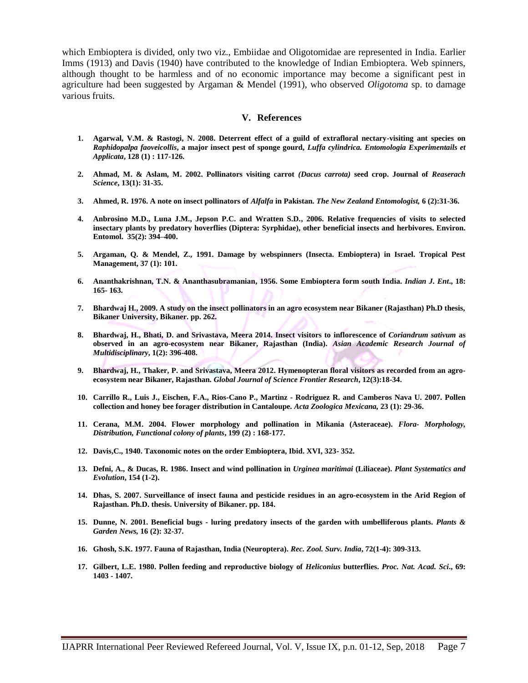which Embioptera is divided, only two viz., Embiidae and Oligotomidae are represented in India. Earlier Imms (1913) and Davis (1940) have contributed to the knowledge of Indian Embioptera. Web spinners, although thought to be harmless and of no economic importance may become a significant pest in agriculture had been suggested by Argaman & Mendel (1991), who observed *Oligotoma* sp. to damage various fruits.

#### **V. References**

- **1. Agarwal, V.M. & Rastogi, N. 2008. Deterrent effect of a guild of extrafloral nectary-visiting ant species on**  *Raphidopalpa faoveicollis***, a major insect pest of sponge gourd,** *Luffa cylindrica. Entomologia Experimentails et Applicata***, 128 (1) : 117-126.**
- **2. Ahmad, M. & Aslam, M. 2002. Pollinators visiting carrot** *(Dacus carrota)* **seed crop. Journal of** *Reaserach Science***, 13(1): 31-35.**
- **3. Ahmed, R. 1976. A note on insect pollinators of** *Alfalfa* **in Pakistan.** *The New Zealand Entomologist,* **6 (2):31-36.**
- **4. Anbrosino M.D., Luna J.M., Jepson P.C. and Wratten S.D., 2006. Relative frequencies of visits to selected insectary plants by predatory hoverflies (Diptera: Syrphidae), other beneficial insects and herbivores. Environ. Entomol. 35(2): 394–400.**
- **5. Argaman, Q. & Mendel, Z., 1991. Damage by webspinners (Insecta. Embioptera) in Israel. Tropical Pest Management, 37 (1): 101.**
- **6. Ananthakrishnan, T.N. & Ananthasubramanian, 1956. Some Embioptera form south India.** *Indian J. Ent***., 18: 165- 163.**
- **7. Bhardwaj H., 2009. A study on the insect pollinators in an agro ecosystem near Bikaner (Rajasthan) Ph.D thesis, Bikaner University, Bikaner. pp. 262.**
- **8. Bhardwaj, H., Bhati, D. and Srivastava, Meera 2014. Insect visitors to inflorescence of** *Coriandrum sativum* **as observed in an agro-ecosystem near Bikaner, Rajasthan (India).** *Asian Academic Research Journal of Multidisciplinary***, 1(2): 396-408.**
- **9. Bhardwaj, H., Thaker, P. and Srivastava, Meera 2012. Hymenopteran floral visitors as recorded from an agroecosystem near Bikaner, Rajasthan.** *Global Journal of Science Frontier Research***, 12(3):18-34.**
- **10. Carrillo R., Luis J., Eischen, F.A., Rios-Cano P., Martinz - Rodriguez R. and Camberos Nava U. 2007. Pollen collection and honey bee forager distribution in Cantaloupe.** *Acta Zoologica Mexicana,* **23 (1): 29-36.**
- **11. Cerana, M.M. 2004. Flower morphology and pollination in Mikania (Asteraceae).** *Flora- Morphology, Distribution, Functional colony of plants***, 199 (2) : 168-177.**
- **12. Davis,C., 1940. Taxonomic notes on the order Embioptera, Ibid. XVI, 323- 352.**
- **13. Defni, A., & Ducas, R. 1986. Insect and wind pollination in** *Urginea maritimai* **(Liliaceae).** *Plant Systematics and Evolution***, 154 (1-2).**
- **14. Dhas, S. 2007. Surveillance of insect fauna and pesticide residues in an agro-ecosystem in the Arid Region of Rajasthan. Ph.D. thesis. University of Bikaner. pp. 184.**
- **15. Dunne, N. 2001. Beneficial bugs - luring predatory insects of the garden with umbelliferous plants.** *Plants & Garden News,* **16 (2): 32-37.**
- **16. Ghosh, S.K. 1977. Fauna of Rajasthan, India (Neuroptera).** *Rec. Zool. Surv. India***, 72(1-4): 309-313.**
- **17. Gilbert, L.E. 1980. Pollen feeding and reproductive biology of** *Heliconius* **butterflies.** *Proc. Nat. Acad. Sci***., 69: 1403 - 1407.**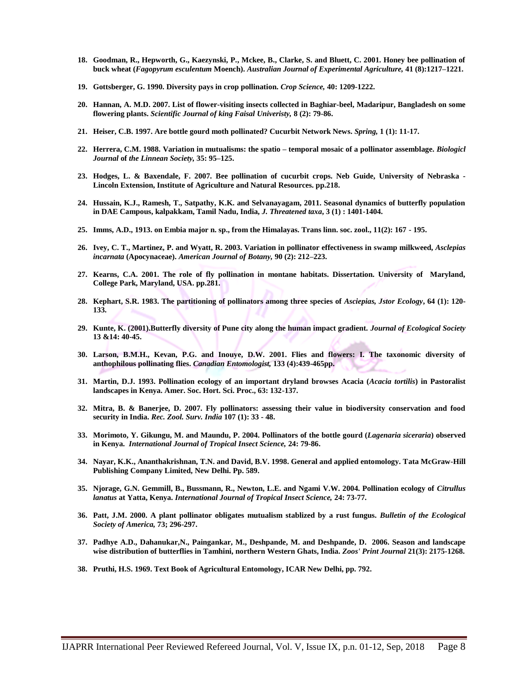- **18. Goodman, R., Hepworth, G., Kaezynski, P., Mckee, B., Clarke, S. and Bluett, C. 2001. Honey bee pollination of buck wheat (***Fagopyrum esculentum* **Moench).** *Australian Journal of Experimental Agriculture,* **41 (8):1217–1221.**
- **19. Gottsberger, G. 1990. Diversity pays in crop pollination.** *Crop Science,* **40: 1209-1222.**
- **20. Hannan, A. M.D. 2007. List of flower-visiting insects collected in Baghiar-beel, Madaripur, Bangladesh on some flowering plants.** *Scientific Journal of king Faisal Univeristy,* **8 (2): 79-86.**
- **21. Heiser, C.B. 1997. Are bottle gourd moth pollinated? Cucurbit Network News.** *Spring,* **1 (1): 11-17.**
- **22. Herrera, C.M. 1988. Variation in mutualisms: the spatio – temporal mosaic of a pollinator assemblage.** *Biologicl Journal* **of** *the Linnean Society,* **35: 95–125.**
- **23. Hodges, L. & Baxendale, F. 2007. Bee pollination of cucurbit crops. Neb Guide, University of Nebraska - Lincoln Extension, Institute of Agriculture and Natural Resources. pp.218.**
- **24. Hussain, K.J., Ramesh, T., Satpathy, K.K. and Selvanayagam, 2011. Seasonal dynamics of butterfly population in DAE Campous, kalpakkam, Tamil Nadu, India,** *J. Threatened taxa***, 3 (1) : 1401-1404.**
- **25. Imms, A.D., 1913. on Embia major n. sp., from the Himalayas. Trans linn. soc. zool., 11(2): 167 - 195.**
- **26. Ivey, C. T., Martinez, P. and Wyatt, R. 2003. Variation in pollinator effectiveness in swamp milkweed,** *Asclepias incarnata* **(Apocynaceae).** *American Journal of Botany,* **90 (2): 212–223.**
- **27. Kearns, C.A. 2001. The role of fly pollination in montane habitats. Dissertation. University of Maryland, College Park, Maryland, USA. pp.281.**
- **28. Kephart, S.R. 1983. The partitioning of pollinators among three species of** *Asciepias, Jstor Ecology***, 64 (1): 120- 133.**
- **29. Kunte, K. (2001).Butterfly diversity of Pune city along the human impact gradient.** *Journal of Ecological Society* **13 &14: 40-45.**
- **30. Larson, B.M.H., Kevan, P.G. and Inouye, D.W. 2001. Flies and flowers: I. The taxonomic diversity of anthophilous pollinating flies.** *Canadian Entomologist,* **133 (4):439-465pp.**
- **31. Martin, D.J. 1993. Pollination ecology of an important dryland browses Acacia (***Acacia tortilis***) in Pastoralist landscapes in Kenya. Amer. Soc. Hort. Sci. Proc., 63: 132-137.**
- **32. Mitra, B. & Banerjee, D. 2007. Fly pollinators: assessing their value in biodiversity conservation and food security in India.** *Rec. Zool. Surv. India* **107 (1): 33 - 48.**
- **33. Morimoto, Y. Gikungu, M. and Maundu, P. 2004. Pollinators of the bottle gourd (***Lagenaria siceraria***) observed in Kenya.** *International Journal of Tropical Insect Science,* **24: 79-86.**
- **34. Nayar, K.K., Ananthakrishnan, T.N. and David, B.V. 1998. General and applied entomology. Tata McGraw-Hill Publishing Company Limited, New Delhi. Pp. 589.**
- **35. Njorage, G.N. Gemmill, B., Bussmann, R., Newton, L.E. and Ngami V.W. 2004. Pollination ecology of** *Citrullus lanatus* **at Yatta, Kenya.** *International Journal of Tropical Insect Science,* **24: 73-77.**
- **36. Patt, J.M. 2000. A plant pollinator obligates mutualism stablized by a rust fungus.** *Bulletin of the Ecological Society of America,* **73; 296-297.**
- **37. Padhye A.D., Dahanukar,N., Paingankar, M., Deshpande, M. and Deshpande, D. 2006. Season and landscape wise distribution of butterflies in Tamhini, northern Western Ghats, India.** *Zoos' Print Journal* **21(3): 2175-1268.**
- **38. Pruthi, H.S. 1969. Text Book of Agricultural Entomology, ICAR New Delhi, pp. 792.**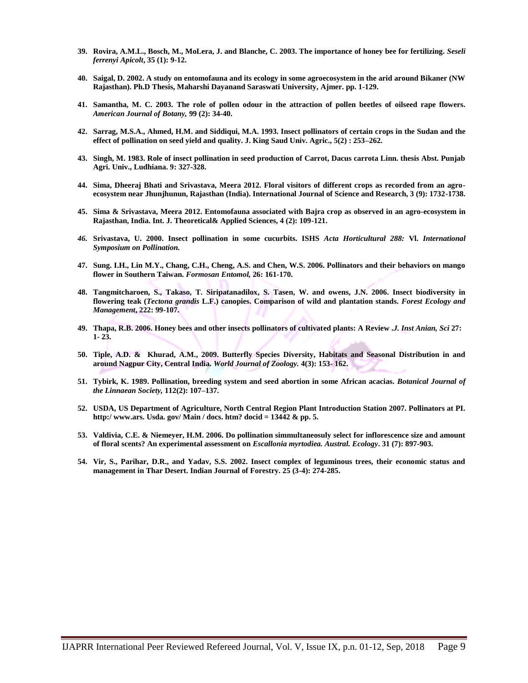- **39. Rovira, A.M.L., Bosch, M., MoLera, J. and Blanche, C. 2003. The importance of honey bee for fertilizing.** *Seseli ferrenyi Apicolt***, 35 (1): 9-12.**
- **40. Saigal, D. 2002. A study on entomofauna and its ecology in some agroecosystem in the arid around Bikaner (NW Rajasthan). Ph.D Thesis, Maharshi Dayanand Saraswati University, Ajmer. pp. 1-129.**
- **41. Samantha, M. C. 2003. The role of pollen odour in the attraction of pollen beetles of oilseed rape flowers.**  *American Journal of Botany,* **99 (2): 34-40.**
- **42. Sarrag, M.S.A., Ahmed, H.M. and Siddiqui, M.A. 1993. Insect pollinators of certain crops in the Sudan and the effect of pollination on seed yield and quality. J. King Saud Univ. Agric., 5(2) : 253–262.**
- **43. Singh, M. 1983. Role of insect pollination in seed production of Carrot, Dacus carrota Linn. thesis Abst. Punjab Agri. Univ., Ludhiana. 9: 327-328.**
- **44. Sima, Dheeraj Bhati and Srivastava, Meera 2012. Floral visitors of different crops as recorded from an agroecosystem near Jhunjhunun, Rajasthan (India). International Journal of Science and Research, 3 (9): 1732-1738.**
- **45. Sima & Srivastava, Meera 2012. Entomofauna associated with Bajra crop as observed in an agro-ecosystem in Rajasthan, India. Int. J. Theoretical& Applied Sciences, 4 (2): 109-121.**
- *46.* **Srivastava, U. 2000. Insect pollination in some cucurbits. ISHS** *Acta Horticultural 288:* **Vl.** *International Symposium on Pollination.*
- **47. Sung. I.H., Lin M.Y., Chang, C.H., Cheng, A.S. and Chen, W.S. 2006. Pollinators and their behaviors on mango flower in Southern Taiwan.** *Formosan Entomol,* **26: 161-170.**
- **48. Tangmitcharoen, S., Takaso, T. Siripatanadilox, S. Tasen, W. and owens, J.N. 2006. Insect biodiversity in flowering teak (***Tectona grandis* **L.F.) canopies. Comparison of wild and plantation stands.** *Forest Ecology and Management***, 222: 99-107.**
- **49. Thapa, R.B. 2006. Honey bees and other insects pollinators of cultivated plants: A Review .***J. Inst Anian, Sci* **27: 1- 23.**
- **50. Tiple, A.D. & Khurad, A.M., 2009. Butterfly Species Diversity, Habitats and Seasonal Distribution in and around Nagpur City, Central India.** *World Journal of Zoology.* **4(3): 153- 162.**
- **51. Tybirk, K. 1989. Pollination, breeding system and seed abortion in some African acacias.** *Botanical Journal of the Linnaean Society,* **112(2): 107–137.**
- **52. USDA, US Department of Agriculture, North Central Region Plant Introduction Station 2007. Pollinators at PI. http:/ www.ars. Usda. gov/ Main / docs. htm? docid = 13442 & pp. 5.**
- **53. Valdivia, C.E. & Niemeyer, H.M. 2006. Do pollination simmultaneosuly select for inflorescence size and amount of floral scents? An experimental assessment on** *Escallonia myrtodiea. Austral. Ecology***. 31 (7): 897-903.**
- **54. Vir, S., Parihar, D.R., and Yadav, S.S. 2002. Insect complex of leguminous trees, their economic status and management in Thar Desert. Indian Journal of Forestry. 25 (3-4): 274-285.**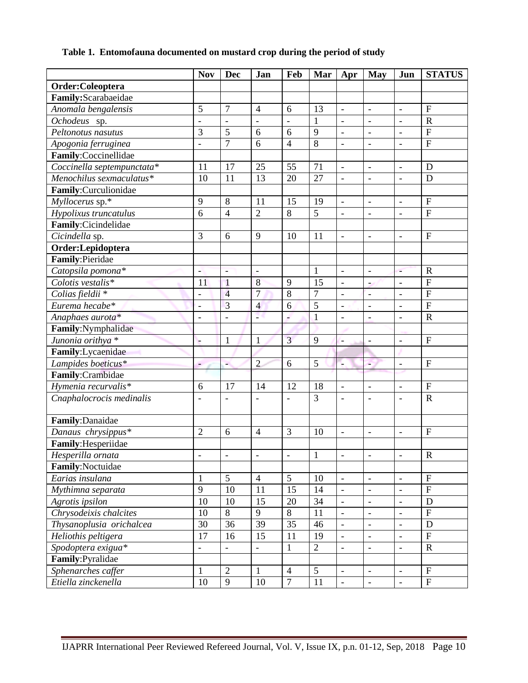|  | Table 1. Entomofauna documented on mustard crop during the period of study |  |  |  |  |  |  |
|--|----------------------------------------------------------------------------|--|--|--|--|--|--|
|--|----------------------------------------------------------------------------|--|--|--|--|--|--|

|                              | <b>Nov</b>               | <b>Dec</b>               | Jan                          | Feb            | Mar            | Apr                          | <b>May</b>               | Jun                          | <b>STATUS</b>             |
|------------------------------|--------------------------|--------------------------|------------------------------|----------------|----------------|------------------------------|--------------------------|------------------------------|---------------------------|
| Order:Coleoptera             |                          |                          |                              |                |                |                              |                          |                              |                           |
| Family:Scarabaeidae          |                          |                          |                              |                |                |                              |                          |                              |                           |
| Anomala bengalensis          |                          | $\overline{7}$           | $\overline{4}$               | 6              | 13             | $\overline{\phantom{a}}$     | $\frac{1}{2}$            | $\overline{\phantom{a}}$     | $\overline{F}$            |
| Ochodeus sp.                 | $\overline{\phantom{a}}$ | $\overline{\phantom{a}}$ | $\overline{a}$               | $\overline{a}$ | 1              | $\overline{\phantom{a}}$     | $\frac{1}{2}$            | $\overline{\phantom{a}}$     | $\mathbf R$               |
| Peltonotus nasutus           | 3                        | 5                        | 6                            | 6              | 9              | $\overline{\phantom{a}}$     | $\overline{a}$           | $\overline{\phantom{a}}$     | ${\bf F}$                 |
| Apogonia ferruginea          |                          | $\overline{7}$           | 6                            | $\overline{4}$ | $\overline{8}$ | $\overline{a}$               | $\overline{a}$           | $\overline{\phantom{a}}$     | $\mathbf F$               |
| Family:Coccinellidae         |                          |                          |                              |                |                |                              |                          |                              |                           |
| Coccinella septempunctata*   | 11                       | 17                       | 25                           | 55             | 71             | $\overline{\phantom{a}}$     | $\overline{\phantom{a}}$ | $\blacksquare$               | D                         |
| Menochilus sexmaculatus*     | 10                       | 11                       | 13                           | 20             | 27             | $\overline{\phantom{a}}$     | $\overline{a}$           | $\blacksquare$               | D                         |
| Family:Curculionidae         |                          |                          |                              |                |                |                              |                          |                              |                           |
| Myllocerus sp.*              | 9                        | 8                        | 11                           | 15             | 19             | $\overline{\phantom{a}}$     | $\overline{a}$           | $\overline{\phantom{a}}$     | $\overline{F}$            |
| Hypolixus truncatulus        | 6                        | $\overline{4}$           | $\overline{2}$               | 8              | 5              | $\overline{\phantom{a}}$     | $\overline{a}$           | $\blacksquare$               | $\mathbf{F}$              |
| Family:Cicindelidae          |                          |                          |                              |                |                |                              |                          |                              |                           |
| Cicindella sp.               | 3                        | 6                        | 9                            | 10             | 11             | $\overline{\phantom{a}}$     | $\frac{1}{2}$            | $\blacksquare$               | $\boldsymbol{\mathrm{F}}$ |
| Order:Lepidoptera            |                          |                          |                              |                |                |                              |                          |                              |                           |
| Family: Pieridae             |                          |                          |                              |                |                |                              |                          |                              |                           |
| Catopsila pomona*            | $\overline{\phantom{a}}$ | Ξ                        | $\bar{a}$                    |                | $\mathbf{1}$   | $\bar{\phantom{a}}$          | $\blacksquare$           | ÷                            | $\mathbf R$               |
| Colotis vestalis*            | 11                       | 1                        | 8                            | 9              | 15             | $\overline{\phantom{a}}$     | ÷,                       | $\overline{a}$               | $\mathbf{F}$              |
| Colias fieldii *             | $\frac{1}{2}$            | $\overline{4}$           | $\overline{7}$               | 8              | $\overline{7}$ | $\frac{1}{2}$                | $\overline{a}$           | $\overline{\phantom{a}}$     | $\overline{F}$            |
| Eurema hecabe*               | $\overline{\phantom{a}}$ | $\overline{3}$           | $\overline{4}$               | 6              | 5              | $\qquad \qquad \blacksquare$ | $\overline{a}$           | $\qquad \qquad \blacksquare$ | $\overline{F}$            |
| Anaphaes aurota*             | $\overline{\phantom{a}}$ | $\overline{\phantom{a}}$ | Ξ                            | ۷              | $\mathbf{1}$   | $\overline{\phantom{a}}$     | $\overline{\phantom{0}}$ | $\overline{\phantom{a}}$     | $\mathbf R$               |
| Family:Nymphalidae           |                          |                          |                              |                |                |                              |                          |                              |                           |
| Junonia orithya <sup>*</sup> | н                        | $\mathbf{1}$             | $\mathbf{1}$                 | $\overline{3}$ | 9              | ŀ.                           | $\overline{\phantom{a}}$ | $\blacksquare$               | $\mathbf{F}$              |
| Family:Lycaenidae            |                          |                          |                              |                |                |                              |                          |                              |                           |
| Lampides boeticus*           | ÷.                       | ÷.                       | $\overline{2}$               | 6              | 5              | Ļ                            | Ŧ,                       | $\blacksquare$               | $\mathbf F$               |
| Family:Crambidae             |                          |                          |                              |                |                |                              |                          |                              |                           |
| Hymenia recurvalis*          | 6                        | 17                       | 14                           | 12             | 18             | $\blacksquare$               | $\overline{\phantom{0}}$ | $\overline{\phantom{a}}$     | $\boldsymbol{\mathrm{F}}$ |
| Cnaphalocrocis medinalis     | $\overline{\phantom{a}}$ | $\overline{\phantom{0}}$ |                              |                | 3              | $\frac{1}{2}$                | $\overline{a}$           | $\overline{\phantom{a}}$     | $\mathbf R$               |
|                              |                          |                          |                              |                |                |                              |                          |                              |                           |
| Family: Danaidae             |                          |                          |                              |                |                |                              |                          |                              |                           |
| Danaus chrysippus*           | $\overline{2}$           | 6                        | $\overline{4}$               | 3              | 10             | $\overline{\phantom{a}}$     | $\blacksquare$           | $\overline{\phantom{a}}$     | $\mathbf{F}$              |
| Family: Hesperiidae          |                          |                          |                              |                |                |                              |                          |                              |                           |
| Hesperilla ornata            | $\overline{\phantom{a}}$ | $\overline{\phantom{a}}$ | $\overline{\phantom{a}}$     | -              | $\overline{1}$ | $\overline{\phantom{a}}$     | $\overline{\phantom{a}}$ | $\overline{\phantom{a}}$     | $\overline{R}$            |
| Family:Noctuidae             |                          |                          |                              |                |                |                              |                          |                              |                           |
| Earias insulana              | 1                        | $\mathfrak{S}$           | $\overline{4}$               | $\mathfrak{S}$ | 10             | $\overline{\phantom{a}}$     | $\overline{\phantom{a}}$ | $\overline{\phantom{a}}$     | $\mathbf{F}$              |
| Mythimna separata            | 9                        | 10                       | 11                           | 15             | 14             | $\overline{\phantom{a}}$     | $\overline{\phantom{a}}$ | $\overline{\phantom{a}}$     | $\mathbf{F}$              |
| Agrotis ipsilon              | 10                       | 10                       | 15                           | 20             | 34             | $\overline{\phantom{a}}$     | $\overline{\phantom{a}}$ | $\overline{\phantom{a}}$     | D                         |
| Chrysodeixis chalcites       | 10                       | $\, 8$                   | 9                            | 8              | 11             | $\qquad \qquad -$            | $\qquad \qquad -$        | $\overline{\phantom{a}}$     | $\boldsymbol{\mathrm{F}}$ |
| Thysanoplusia orichalcea     | 30                       | 36                       | 39                           | 35             | 46             | $\blacksquare$               | $\overline{\phantom{a}}$ | $\overline{\phantom{a}}$     | D                         |
| Heliothis peltigera          | 17                       | 16                       | 15                           | 11             | 19             | $\overline{\phantom{a}}$     | $\overline{\phantom{a}}$ | $\overline{\phantom{a}}$     | $\mathbf F$               |
| Spodoptera exigua*           | $\overline{\phantom{a}}$ |                          | $\qquad \qquad \blacksquare$ | $\mathbf{1}$   | $\overline{2}$ | $\overline{\phantom{a}}$     | $\overline{\phantom{0}}$ | $\overline{\phantom{a}}$     | $\mathbf R$               |
| Family:Pyralidae             |                          |                          |                              |                |                |                              |                          |                              |                           |
| Sphenarches caffer           | $\mathbf{1}$             | $\overline{2}$           | 1                            | $\overline{4}$ | 5              | $\overline{\phantom{a}}$     | $\overline{\phantom{a}}$ | $\overline{\phantom{a}}$     | $\mathbf F$               |
| Etiella zinckenella          | 10                       | 9                        | 10                           | $\overline{7}$ | 11             | $\overline{a}$               | $\overline{a}$           | $\equiv$                     | $\mathbf{F}$              |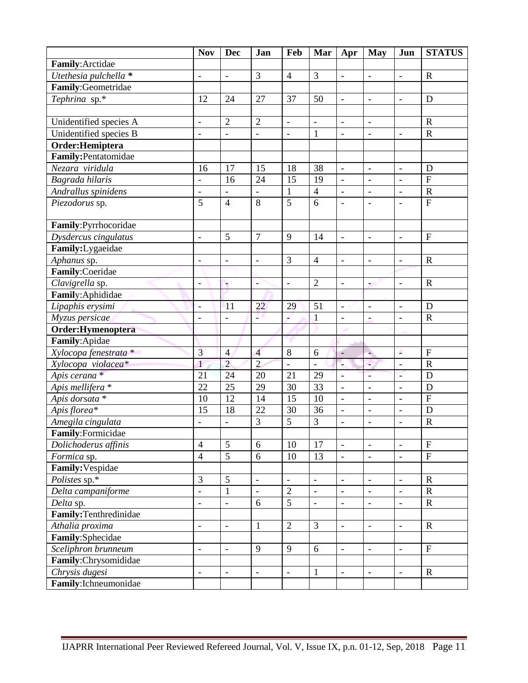|                             | <b>Nov</b>               | <b>Dec</b>               | Jan                      | Feb                      | Mar                      | Apr                      | May                      | Jun                          | <b>STATUS</b>             |
|-----------------------------|--------------------------|--------------------------|--------------------------|--------------------------|--------------------------|--------------------------|--------------------------|------------------------------|---------------------------|
| Family: Arctidae            |                          |                          |                          |                          |                          |                          |                          |                              |                           |
| Utethesia pulchella *       |                          | $\overline{\phantom{a}}$ | $\overline{3}$           | $\overline{4}$           | 3                        | $\overline{a}$           | $\overline{\phantom{0}}$ | $\overline{\phantom{a}}$     | $\mathbf R$               |
| Family:Geometridae          |                          |                          |                          |                          |                          |                          |                          |                              |                           |
| Tephrina sp.*               | 12                       | 24                       | 27                       | 37                       | 50                       | $\overline{\phantom{a}}$ | $\overline{\phantom{a}}$ | $\overline{\phantom{a}}$     | D                         |
|                             |                          |                          |                          |                          |                          |                          |                          |                              |                           |
| Unidentified species A      | $\overline{\phantom{a}}$ | $\overline{2}$           | $\overline{2}$           | $\overline{\phantom{a}}$ | $\overline{\phantom{a}}$ | $\qquad \qquad -$        | $\qquad \qquad -$        |                              | $\mathbf R$               |
| Unidentified species B      | $\overline{\phantom{a}}$ | $\frac{1}{2}$            | $\overline{\phantom{a}}$ | $\overline{\phantom{a}}$ | $\mathbf{1}$             | $\blacksquare$           | $\overline{a}$           | $\overline{\phantom{a}}$     | $\mathbf R$               |
| Order: Hemiptera            |                          |                          |                          |                          |                          |                          |                          |                              |                           |
| Family:Pentatomidae         |                          |                          |                          |                          |                          |                          |                          |                              |                           |
| Nezara viridula             | 16                       | 17                       | 15                       | 18                       | 38                       | $\overline{\phantom{a}}$ | $\overline{\phantom{0}}$ | $\frac{1}{2}$                | D                         |
| Bagrada hilaris             | $\frac{1}{2}$            | 16                       | 24                       | 15                       | 19                       | $\overline{a}$           | $\overline{a}$           | $\overline{a}$               | $\overline{F}$            |
| Andrallus spinidens         | $\blacksquare$           | $\frac{1}{2}$            | $\blacksquare$           | $\mathbf 1$              | $\overline{4}$           | $\blacksquare$           | $\overline{a}$           | $\overline{a}$               | $\mathbf R$               |
| Piezodorus sp.              | $\overline{5}$           | $\overline{4}$           | 8                        | $\overline{5}$           | 6                        | $\overline{\phantom{a}}$ | $\overline{\phantom{0}}$ | $\overline{\phantom{0}}$     | ${\bf F}$                 |
|                             |                          |                          |                          |                          |                          |                          |                          |                              |                           |
| Family:Pyrrhocoridae        |                          |                          |                          |                          |                          |                          |                          |                              |                           |
| Dysdercus cingulatus        | $\overline{\phantom{a}}$ | 5                        | $\overline{7}$           | 9                        | 14                       | $\overline{\phantom{a}}$ | $\blacksquare$           | $\overline{\phantom{a}}$     | $\overline{F}$            |
| Family: Lygaeidae           |                          |                          |                          |                          |                          |                          |                          |                              |                           |
| Aphanus sp.                 | $\Box$                   | $\frac{1}{2}$            | $\frac{1}{2}$            | 3                        | $\overline{4}$           | $\overline{\phantom{a}}$ | $\overline{\phantom{a}}$ | $\overline{\phantom{a}}$     | $\mathbf R$               |
| Family:Coeridae             |                          |                          |                          |                          |                          |                          |                          |                              |                           |
| Clavigrella sp.             | $\overline{a}$           | ۷                        | $\overline{a}$           | $\overline{\phantom{a}}$ | $\overline{2}$           | $\overline{\phantom{a}}$ | أفرو                     | $\overline{\phantom{a}}$     | $\mathbf R$               |
| Family: Aphididae           |                          |                          |                          |                          |                          |                          |                          |                              |                           |
| Lipaphis erysimi            | $\overline{\phantom{a}}$ | 11                       | 22                       | 29                       | 51                       | $\overline{\phantom{a}}$ | $\overline{\phantom{a}}$ | $\blacksquare$               | D                         |
| Myzus persicae              | $\blacksquare$           | $\frac{1}{2}$            | 23                       | é                        | $\mathbf{1}$             | $\frac{1}{2}$            | $\overline{a}$           | $\blacksquare$               | $\mathbf R$               |
| Order:Hymenoptera           |                          |                          |                          |                          |                          |                          |                          |                              |                           |
| Family: Apidae              |                          |                          |                          |                          |                          |                          |                          |                              |                           |
| Xylocopa fenestrata *       | $\overline{3}$           | $\overline{4}$           | $\overline{4}$           | 8                        | 6                        | ۴                        | ۹                        | é.                           | $\mathbf{F}$              |
| Xylocopa violacea*          | $\mathbf{1}$             | $\overline{2}$           | $\overline{2}$           | ų,                       | $\overline{a}$           | Ļ                        | c,                       | $\overline{\phantom{a}}$     | $\mathbf R$               |
| Apis cerana*                | 21                       | 24                       | 20                       | 21                       | 29                       | $\blacksquare$           | $\overline{\phantom{0}}$ | Ξ                            | D                         |
| Apis mellifera <sup>*</sup> | 22                       | 25                       | 29                       | 30                       | 33                       | $\frac{1}{2}$            | $\frac{1}{2}$            | $\overline{\phantom{a}}$     | D                         |
| Apis dorsata *              | 10                       | 12                       | 14                       | 15                       | 10                       | $\overline{\phantom{0}}$ | $\overline{\phantom{0}}$ | $\qquad \qquad -$            | ${\bf F}$                 |
| Apis florea*                | 15                       | 18                       | 22                       | 30                       | 36                       | $\frac{1}{2}$            | $\frac{1}{2}$            | $\blacksquare$               | $\mathbf D$               |
| Amegila cingulata           | $\frac{1}{2}$            | $\overline{a}$           | 3                        | 5                        | $\overline{3}$           | $\overline{\phantom{0}}$ | $\frac{1}{2}$            | $\qquad \qquad \blacksquare$ | $\mathbf R$               |
| Family:Formicidae           |                          |                          |                          |                          |                          |                          |                          |                              |                           |
| Dolichoderus affinis        | $\overline{4}$           | 5                        | 6                        | 10                       | 17                       | $\overline{a}$           | $\overline{\phantom{0}}$ | $\overline{a}$               | $\overline{F}$            |
| Formica sp.                 | $\overline{4}$           | $\overline{5}$           | 6                        | 10                       | 13                       | $\blacksquare$           | $\overline{\phantom{a}}$ | $\overline{\phantom{a}}$     | $\mathbf{F}$              |
| Family: Vespidae            |                          |                          |                          |                          |                          |                          |                          |                              |                           |
| Polistes sp.*               | 3                        | 5                        | $\overline{\phantom{a}}$ | $\blacksquare$           | $\blacksquare$           | $\overline{\phantom{a}}$ | $\frac{1}{2}$            | $\overline{\phantom{a}}$     | $\mathbf R$               |
| Delta campaniforme          | $\overline{a}$           | $\mathbf{1}$             |                          | $\overline{2}$           |                          |                          |                          | $\overline{\phantom{a}}$     | ${\bf R}$                 |
| Delta sp.                   | $\blacksquare$           | $\blacksquare$           | 6                        | $\overline{5}$           | $\overline{\phantom{a}}$ | $\overline{\phantom{a}}$ | $\overline{\phantom{a}}$ | $\overline{\phantom{a}}$     | $\mathbf R$               |
| Family:Tenthredinidae       |                          |                          |                          |                          |                          |                          |                          |                              |                           |
| Athalia proxima             | $\overline{\phantom{a}}$ | $\qquad \qquad -$        | $\mathbf{1}$             | $\overline{2}$           | $\overline{3}$           | $\blacksquare$           | $\blacksquare$           | $\overline{\phantom{a}}$     | $\mathbf R$               |
| Family:Sphecidae            |                          |                          |                          |                          |                          |                          |                          |                              |                           |
| Sceliphron brunneum         | $\overline{\phantom{a}}$ | $\overline{\phantom{a}}$ | 9                        | 9                        | 6                        | $\qquad \qquad -$        | $\overline{\phantom{0}}$ | $\overline{\phantom{a}}$     | $\boldsymbol{\mathrm{F}}$ |
| Family:Chrysomididae        |                          |                          |                          |                          |                          |                          |                          |                              |                           |
| Chrysis dugesi              | $\blacksquare$           | $\blacksquare$           | $\blacksquare$           | $\blacksquare$           | $\mathbf{1}$             | $\overline{\phantom{a}}$ | $\blacksquare$           | $\overline{\phantom{a}}$     | $\mathbf R$               |
| Family: Ichneumonidae       |                          |                          |                          |                          |                          |                          |                          |                              |                           |